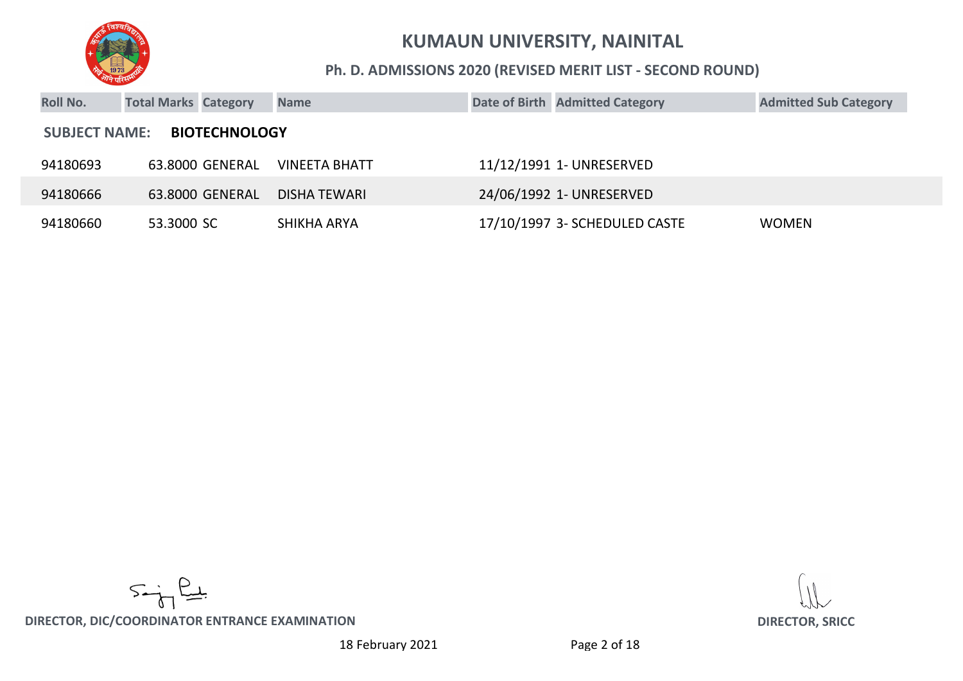

#### **Ph. D. ADMISSIONS 2020 (REVISED MERIT LIST - SECOND ROUND)**

| <b>Roll No.</b> | <b>Total Marks Category</b>                  |                 | <b>Name</b>          |  | Date of Birth Admitted Category | <b>Admitted Sub Category</b> |  |  |  |
|-----------------|----------------------------------------------|-----------------|----------------------|--|---------------------------------|------------------------------|--|--|--|
|                 | <b>BIOTECHNOLOGY</b><br><b>SUBJECT NAME:</b> |                 |                      |  |                                 |                              |  |  |  |
| 94180693        |                                              | 63.8000 GENERAL | <b>VINEETA BHATT</b> |  | 11/12/1991 1- UNRESERVED        |                              |  |  |  |
| 94180666        |                                              | 63.8000 GENERAL | <b>DISHA TEWARI</b>  |  | 24/06/1992 1- UNRESERVED        |                              |  |  |  |
| 94180660        | 53.3000 SC                                   |                 | SHIKHA ARYA          |  | 17/10/1997 3- SCHEDULED CASTE   | <b>WOMEN</b>                 |  |  |  |

 $5 - \frac{2}{5}$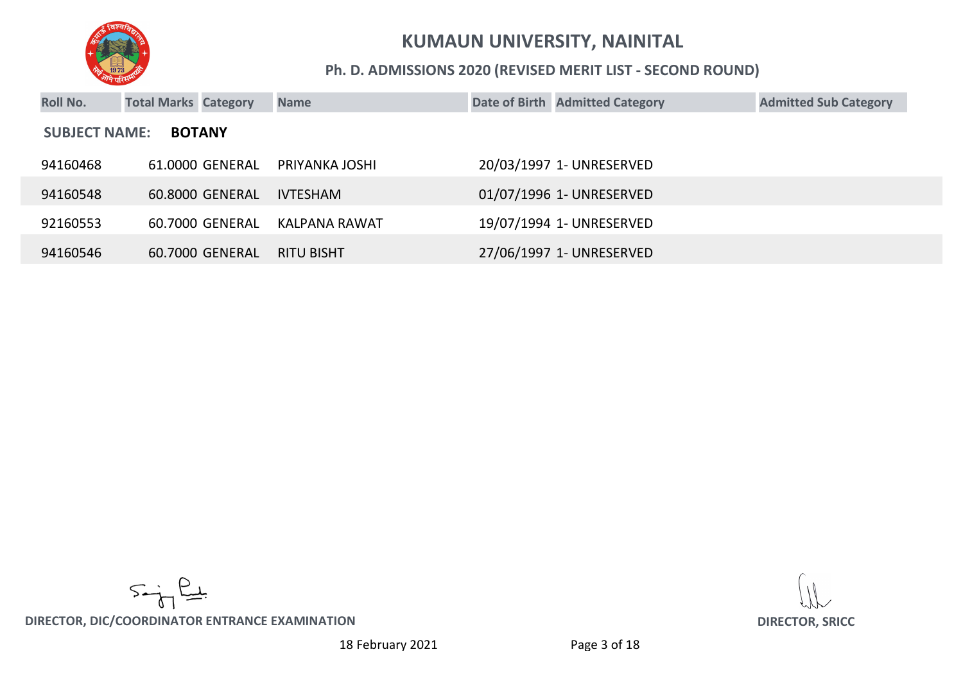

#### **Ph. D. ADMISSIONS 2020 (REVISED MERIT LIST - SECOND ROUND)**

| <b>Roll No.</b>                       | <b>Total Marks Category</b> |                 | <b>Name</b>       |  | Date of Birth Admitted Category | <b>Admitted Sub Category</b> |  |  |
|---------------------------------------|-----------------------------|-----------------|-------------------|--|---------------------------------|------------------------------|--|--|
| <b>SUBJECT NAME:</b><br><b>BOTANY</b> |                             |                 |                   |  |                                 |                              |  |  |
| 94160468                              |                             | 61.0000 GENERAL | PRIYANKA JOSHI    |  | 20/03/1997 1- UNRESERVED        |                              |  |  |
| 94160548                              |                             | 60.8000 GENERAL | <b>IVTESHAM</b>   |  | 01/07/1996 1- UNRESERVED        |                              |  |  |
| 92160553                              |                             | 60.7000 GENERAL | KALPANA RAWAT     |  | 19/07/1994 1- UNRESERVED        |                              |  |  |
| 94160546                              |                             | 60.7000 GENERAL | <b>RITU BISHT</b> |  | 27/06/1997 1- UNRESERVED        |                              |  |  |

 $5 - \frac{2}{3}$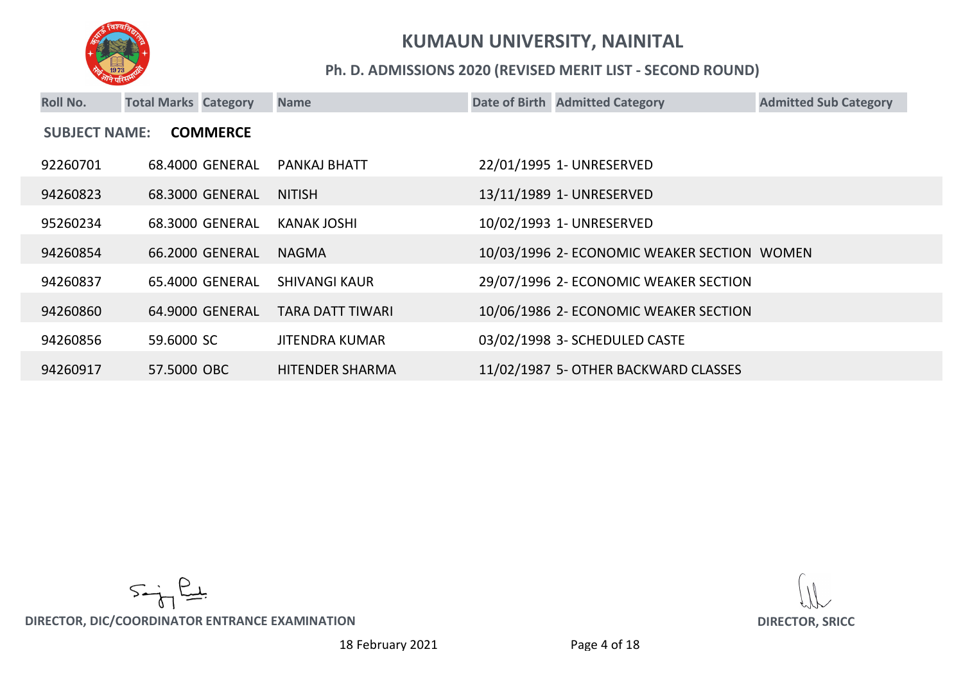

#### **Ph. D. ADMISSIONS 2020 (REVISED MERIT LIST - SECOND ROUND)**

| <b>Roll No.</b>                         | <b>Total Marks Category</b> |                 | <b>Name</b>            |  | Date of Birth Admitted Category             | <b>Admitted Sub Category</b> |  |  |
|-----------------------------------------|-----------------------------|-----------------|------------------------|--|---------------------------------------------|------------------------------|--|--|
| <b>SUBJECT NAME:</b><br><b>COMMERCE</b> |                             |                 |                        |  |                                             |                              |  |  |
| 92260701                                |                             | 68.4000 GENERAL | PANKAJ BHATT           |  | 22/01/1995 1- UNRESERVED                    |                              |  |  |
| 94260823                                |                             | 68.3000 GENERAL | <b>NITISH</b>          |  | 13/11/1989 1- UNRESERVED                    |                              |  |  |
| 95260234                                |                             | 68.3000 GENERAL | <b>KANAK JOSHI</b>     |  | 10/02/1993 1- UNRESERVED                    |                              |  |  |
| 94260854                                |                             | 66.2000 GENERAL | <b>NAGMA</b>           |  | 10/03/1996 2- ECONOMIC WEAKER SECTION WOMEN |                              |  |  |
| 94260837                                |                             | 65.4000 GENERAL | <b>SHIVANGI KAUR</b>   |  | 29/07/1996 2- ECONOMIC WEAKER SECTION       |                              |  |  |
| 94260860                                |                             | 64.9000 GENERAL | TARA DATT TIWARI       |  | 10/06/1986 2- ECONOMIC WEAKER SECTION       |                              |  |  |
| 94260856                                | 59,6000 SC                  |                 | <b>JITENDRA KUMAR</b>  |  | 03/02/1998 3- SCHEDULED CASTE               |                              |  |  |
| 94260917                                | 57.5000 OBC                 |                 | <b>HITENDER SHARMA</b> |  | 11/02/1987 5- OTHER BACKWARD CLASSES        |                              |  |  |

 $5 - \frac{2}{3}$ 

**DIRECTOR, DIC/COORDINATOR ENTRANCE EXAMINATION DIRECTOR, SRICC**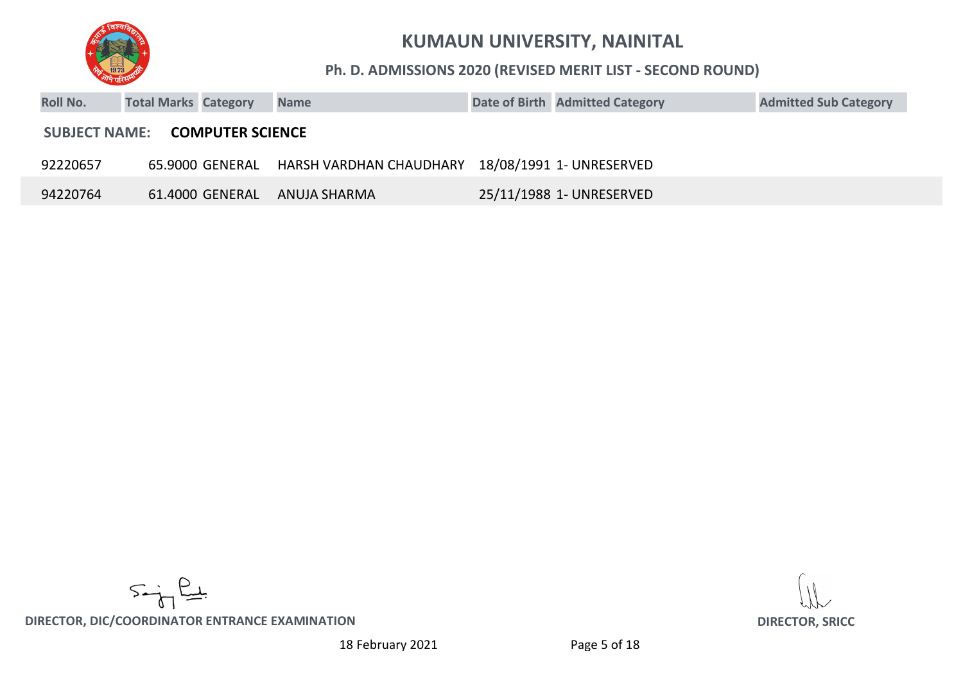

#### **Ph. D. ADMISSIONS 2020 (REVISED MERIT LIST - SECOND ROUND)**

| <b>Roll No.</b>                                 | <b>Total Marks Category</b> |                 | <b>Name</b>             |  | Date of Birth Admitted Category | <b>Admitted Sub Category</b> |  |  |  |
|-------------------------------------------------|-----------------------------|-----------------|-------------------------|--|---------------------------------|------------------------------|--|--|--|
| <b>COMPUTER SCIENCE</b><br><b>SUBJECT NAME:</b> |                             |                 |                         |  |                                 |                              |  |  |  |
| 92220657                                        |                             | 65.9000 GENERAL | HARSH VARDHAN CHAUDHARY |  | 18/08/1991  1- UNRESERVED       |                              |  |  |  |
| 94220764                                        |                             | 61.4000 GENERAL | ANUJA SHARMA            |  | 25/11/1988 1- UNRESERVED        |                              |  |  |  |

 $5 - \frac{2}{3}$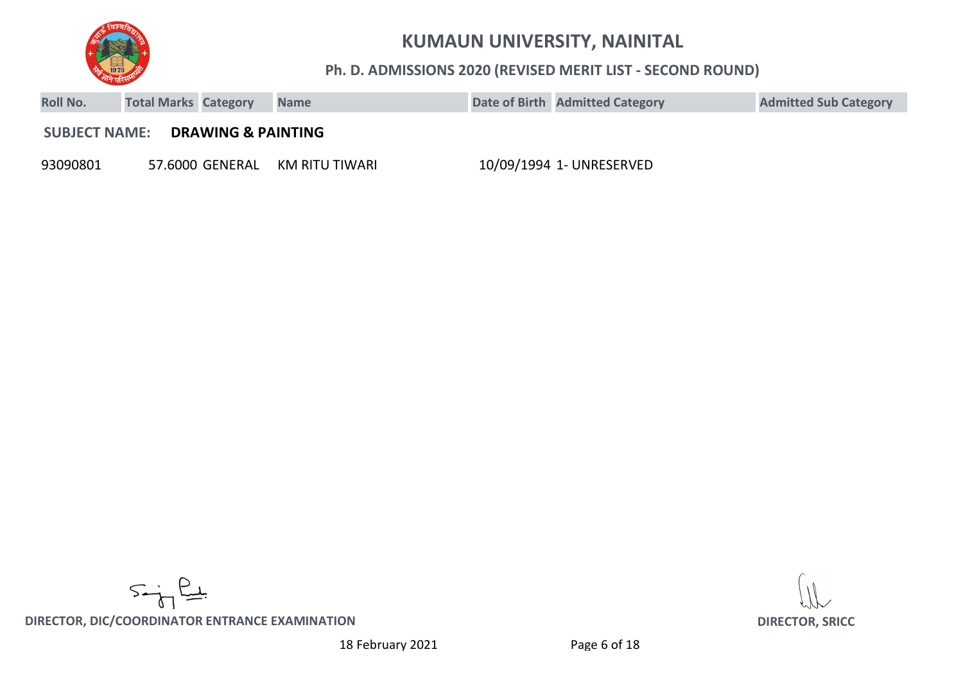

#### **Ph. D. ADMISSIONS 2020 (REVISED MERIT LIST - SECOND ROUND)**

| <b>Roll No.</b>      | <b>Total Marks Category</b> |                               | <b>Name</b>    | Date of Birth Admitted Category | <b>Admitted Sub Category</b> |
|----------------------|-----------------------------|-------------------------------|----------------|---------------------------------|------------------------------|
| <b>SUBJECT NAME:</b> |                             | <b>DRAWING &amp; PAINTING</b> |                |                                 |                              |
| 93090801             |                             | 57.6000 GENERAL               | KM RITU TIWARI | 10/09/1994 1- UNRESERVED        |                              |

 $5 - \frac{2}{3}$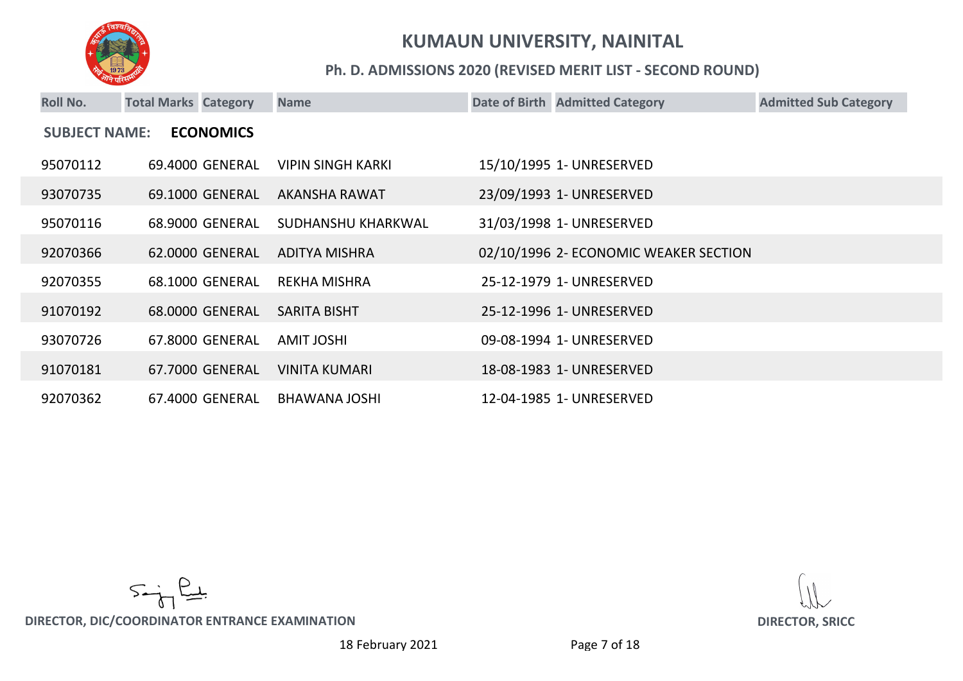

#### **Ph. D. ADMISSIONS 2020 (REVISED MERIT LIST - SECOND ROUND)**

| <b>Roll No.</b>                          | <b>Total Marks Category</b> | <b>Name</b> |                          |  | Date of Birth Admitted Category       | <b>Admitted Sub Category</b> |  |  |
|------------------------------------------|-----------------------------|-------------|--------------------------|--|---------------------------------------|------------------------------|--|--|
| <b>ECONOMICS</b><br><b>SUBJECT NAME:</b> |                             |             |                          |  |                                       |                              |  |  |
| 95070112                                 | 69.4000 GENERAL             |             | <b>VIPIN SINGH KARKI</b> |  | 15/10/1995 1- UNRESERVED              |                              |  |  |
| 93070735                                 | 69.1000 GENERAL             |             | AKANSHA RAWAT            |  | 23/09/1993 1- UNRESERVED              |                              |  |  |
| 95070116                                 | 68.9000 GENERAL             |             | SUDHANSHU KHARKWAL       |  | 31/03/1998 1- UNRESERVED              |                              |  |  |
| 92070366                                 | 62.0000 GENERAL             |             | ADITYA MISHRA            |  | 02/10/1996 2- ECONOMIC WEAKER SECTION |                              |  |  |
| 92070355                                 | 68.1000 GENERAL             |             | <b>REKHA MISHRA</b>      |  | 25-12-1979 1- UNRESERVED              |                              |  |  |
| 91070192                                 | 68.0000 GENERAL             |             | <b>SARITA BISHT</b>      |  | 25-12-1996 1- UNRESERVED              |                              |  |  |
| 93070726                                 | 67.8000 GENERAL             |             | <b>AMIT JOSHI</b>        |  | 09-08-1994 1- UNRESERVED              |                              |  |  |
| 91070181                                 | 67.7000 GENERAL             |             | <b>VINITA KUMARI</b>     |  | 18-08-1983 1- UNRESERVED              |                              |  |  |
| 92070362                                 | 67.4000 GENERAL             |             | BHAWANA JOSHI            |  | 12-04-1985 1- UNRESERVED              |                              |  |  |

 $5 - \frac{2}{3}$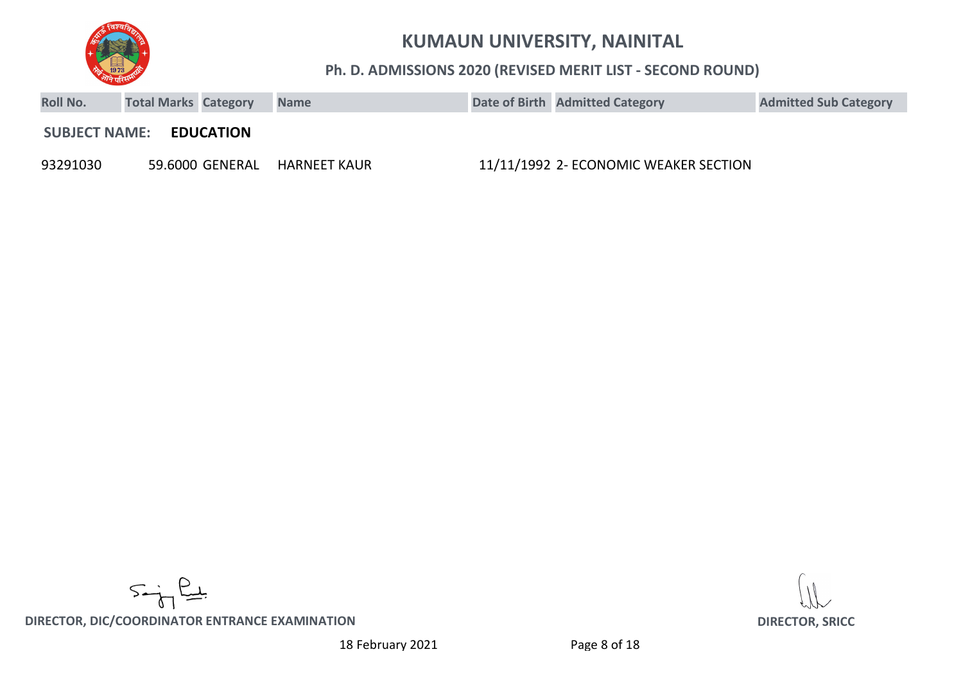

**Ph. D. ADMISSIONS 2020 (REVISED MERIT LIST - SECOND ROUND)**

| <b>Roll No.</b>      | <b>Total Marks Category</b> |                  | <b>Name</b>  | Date of Birth Admitted Category       | <b>Admitted Sub Category</b> |
|----------------------|-----------------------------|------------------|--------------|---------------------------------------|------------------------------|
| <b>SUBJECT NAME:</b> |                             | <b>EDUCATION</b> |              |                                       |                              |
| 93291030             |                             | 59.6000 GENERAL  | HARNEET KAUR | 11/11/1992 2- ECONOMIC WEAKER SECTION |                              |

 $5 - \frac{2}{3}$ 

**DIRECTOR, DIC/COORDINATOR ENTRANCE EXAMINATION DIRECTOR, SRICC**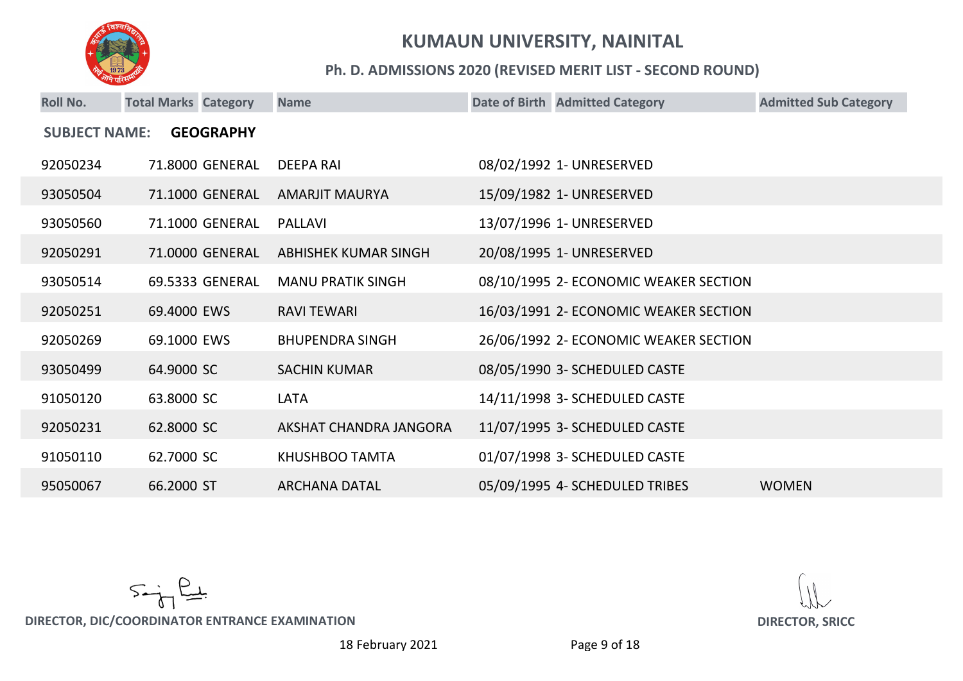

#### **Ph. D. ADMISSIONS 2020 (REVISED MERIT LIST - SECOND ROUND)**

| <b>Roll No.</b>      | <b>Total Marks Category</b> |                  | <b>Name</b>              | Date of Birth Admitted Category       | <b>Admitted Sub Category</b> |
|----------------------|-----------------------------|------------------|--------------------------|---------------------------------------|------------------------------|
| <b>SUBJECT NAME:</b> |                             | <b>GEOGRAPHY</b> |                          |                                       |                              |
| 92050234             |                             | 71.8000 GENERAL  | <b>DEEPA RAI</b>         | 08/02/1992 1- UNRESERVED              |                              |
| 93050504             |                             | 71.1000 GENERAL  | <b>AMARJIT MAURYA</b>    | 15/09/1982 1- UNRESERVED              |                              |
| 93050560             |                             | 71.1000 GENERAL  | <b>PALLAVI</b>           | 13/07/1996 1- UNRESERVED              |                              |
| 92050291             |                             | 71.0000 GENERAL  | ABHISHEK KUMAR SINGH     | 20/08/1995 1- UNRESERVED              |                              |
| 93050514             |                             | 69.5333 GENERAL  | <b>MANU PRATIK SINGH</b> | 08/10/1995 2- ECONOMIC WEAKER SECTION |                              |
| 92050251             | 69.4000 EWS                 |                  | <b>RAVI TEWARI</b>       | 16/03/1991 2- ECONOMIC WEAKER SECTION |                              |
| 92050269             | 69.1000 EWS                 |                  | <b>BHUPENDRA SINGH</b>   | 26/06/1992 2- ECONOMIC WEAKER SECTION |                              |
| 93050499             | 64.9000 SC                  |                  | <b>SACHIN KUMAR</b>      | 08/05/1990 3- SCHEDULED CASTE         |                              |
| 91050120             | 63.8000 SC                  |                  | <b>LATA</b>              | 14/11/1998 3- SCHEDULED CASTE         |                              |
| 92050231             | 62.8000 SC                  |                  | AKSHAT CHANDRA JANGORA   | 11/07/1995 3- SCHEDULED CASTE         |                              |
| 91050110             | 62.7000 SC                  |                  | KHUSHBOO TAMTA           | 01/07/1998 3- SCHEDULED CASTE         |                              |
| 95050067             | 66.2000 ST                  |                  | <b>ARCHANA DATAL</b>     | 05/09/1995 4- SCHEDULED TRIBES        | <b>WOMEN</b>                 |

 $5 - \frac{2}{3}$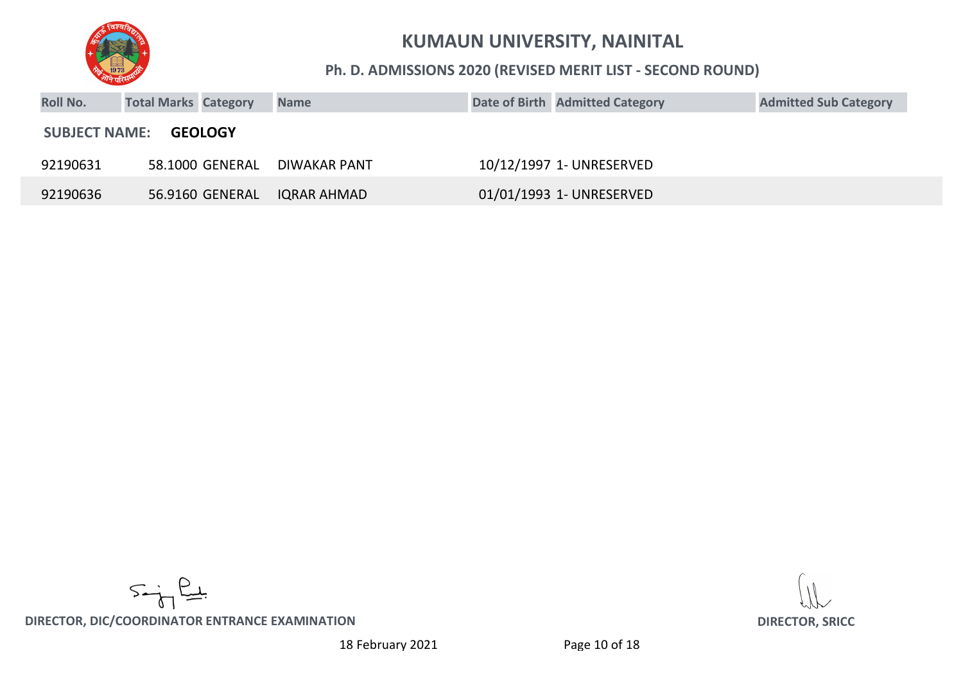

#### **Ph. D. ADMISSIONS 2020 (REVISED MERIT LIST - SECOND ROUND)**

| <b>Roll No.</b>                        | <b>Total Marks Category</b> |                 | <b>Name</b>        |  | Date of Birth Admitted Category | <b>Admitted Sub Category</b> |  |  |  |
|----------------------------------------|-----------------------------|-----------------|--------------------|--|---------------------------------|------------------------------|--|--|--|
| <b>SUBJECT NAME:</b><br><b>GEOLOGY</b> |                             |                 |                    |  |                                 |                              |  |  |  |
| 92190631                               |                             | 58.1000 GENERAL | DIWAKAR PANT       |  | 10/12/1997 1- UNRESERVED        |                              |  |  |  |
| 92190636                               |                             | 56.9160 GENERAL | <b>IQRAR AHMAD</b> |  | 01/01/1993 1- UNRESERVED        |                              |  |  |  |

 $5 - \frac{2}{3}$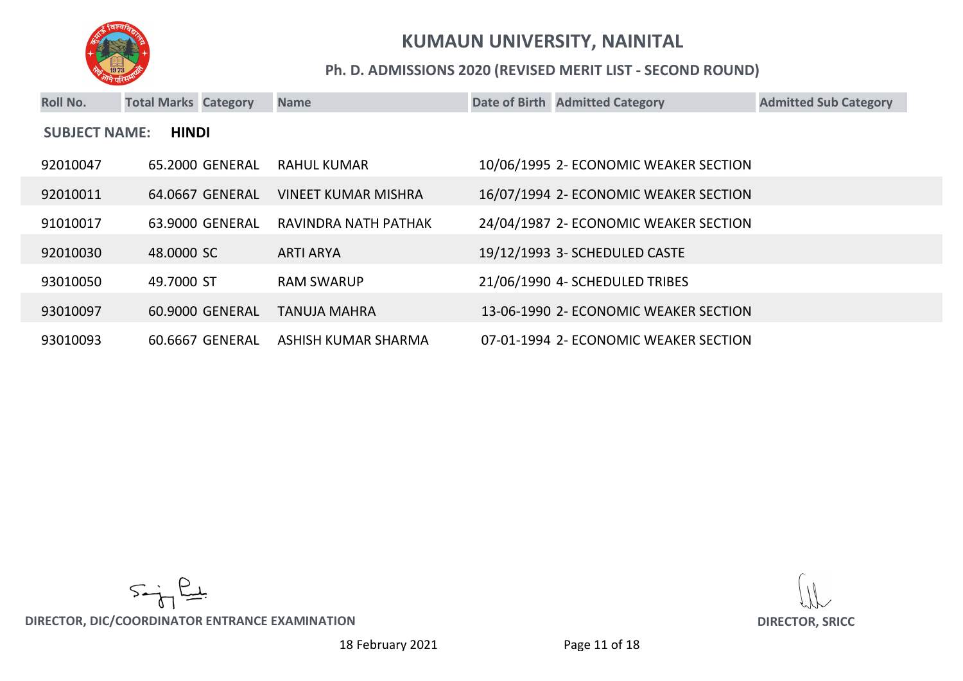

#### **Ph. D. ADMISSIONS 2020 (REVISED MERIT LIST - SECOND ROUND)**

| <b>Roll No.</b>                      | <b>Total Marks Category</b> |                 | <b>Name</b>                |  | Date of Birth Admitted Category       | <b>Admitted Sub Category</b> |  |  |
|--------------------------------------|-----------------------------|-----------------|----------------------------|--|---------------------------------------|------------------------------|--|--|
| <b>HINDI</b><br><b>SUBJECT NAME:</b> |                             |                 |                            |  |                                       |                              |  |  |
| 92010047                             |                             | 65.2000 GENERAL | RAHUL KUMAR                |  | 10/06/1995 2- ECONOMIC WEAKER SECTION |                              |  |  |
| 92010011                             |                             | 64.0667 GENERAL | <b>VINEET KUMAR MISHRA</b> |  | 16/07/1994 2- ECONOMIC WEAKER SECTION |                              |  |  |
| 91010017                             |                             | 63.9000 GENERAL | RAVINDRA NATH PATHAK       |  | 24/04/1987 2- ECONOMIC WEAKER SECTION |                              |  |  |
| 92010030                             | 48,0000 SC                  |                 | <b>ARTI ARYA</b>           |  | 19/12/1993 3- SCHEDULED CASTE         |                              |  |  |
| 93010050                             | 49.7000 ST                  |                 | <b>RAM SWARUP</b>          |  | 21/06/1990 4- SCHEDULED TRIBES        |                              |  |  |
| 93010097                             |                             | 60.9000 GENERAL | <b>TANUJA MAHRA</b>        |  | 13-06-1990 2- ECONOMIC WEAKER SECTION |                              |  |  |
| 93010093                             |                             | 60.6667 GENERAL | ASHISH KUMAR SHARMA        |  | 07-01-1994 2- ECONOMIC WEAKER SECTION |                              |  |  |

 $5 - \frac{2}{3}$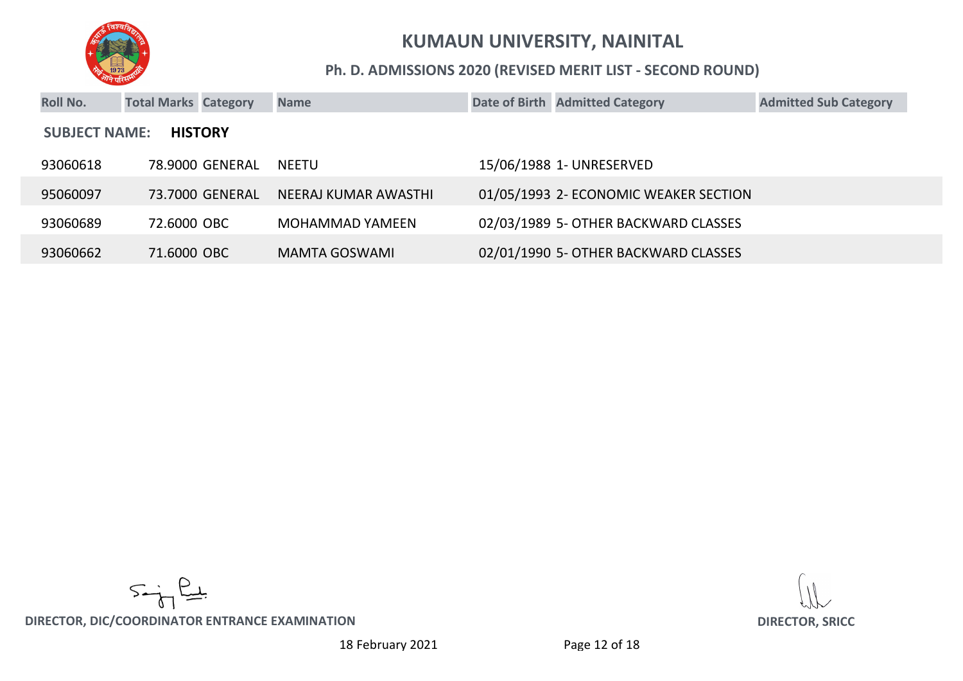

#### **Ph. D. ADMISSIONS 2020 (REVISED MERIT LIST - SECOND ROUND)**

| <b>Roll No.</b>                        | <b>Total Marks Category</b> |                 | <b>Name</b>            |  | Date of Birth Admitted Category       | <b>Admitted Sub Category</b> |  |  |
|----------------------------------------|-----------------------------|-----------------|------------------------|--|---------------------------------------|------------------------------|--|--|
| <b>SUBJECT NAME:</b><br><b>HISTORY</b> |                             |                 |                        |  |                                       |                              |  |  |
| 93060618                               |                             | 78.9000 GENERAL | NEETU                  |  | 15/06/1988 1- UNRESERVED              |                              |  |  |
| 95060097                               |                             | 73.7000 GENERAL | NEERAJ KUMAR AWASTHI   |  | 01/05/1993 2- ECONOMIC WEAKER SECTION |                              |  |  |
| 93060689                               | 72.6000 OBC                 |                 | <b>MOHAMMAD YAMEEN</b> |  | 02/03/1989 5- OTHER BACKWARD CLASSES  |                              |  |  |
| 93060662                               | 71,6000 OBC                 |                 | MAMTA GOSWAMI          |  | 02/01/1990 5- OTHER BACKWARD CLASSES  |                              |  |  |

 $5 - \frac{2}{3}$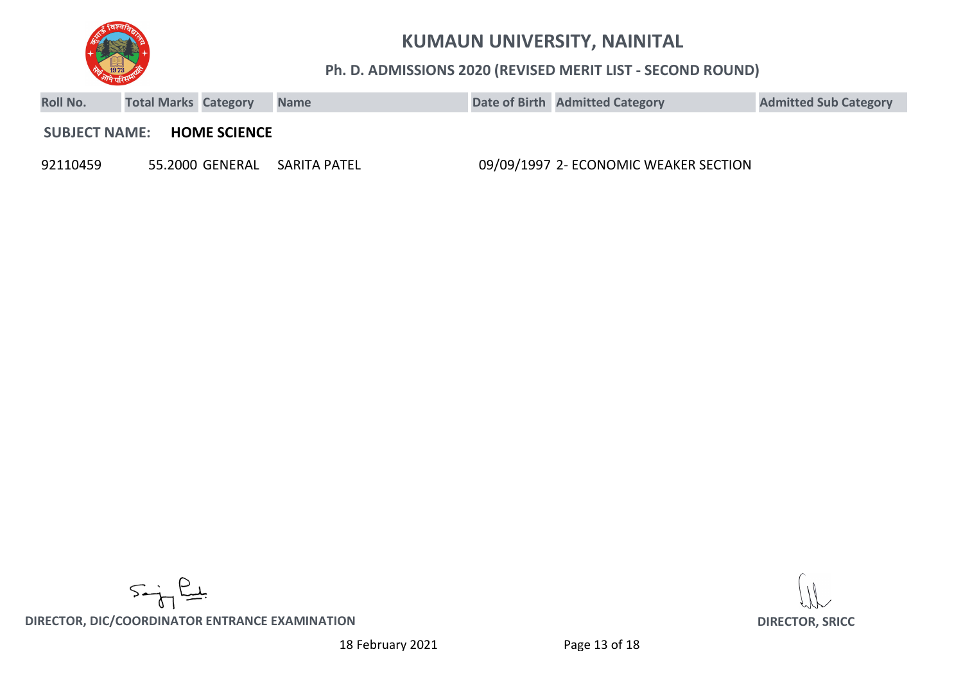

#### **Ph. D. ADMISSIONS 2020 (REVISED MERIT LIST - SECOND ROUND)**

| <b>Roll No.</b>      | <b>Total Marks Category</b> |                     | <b>Name</b>  | Date of Birth Admitted Category       | <b>Admitted Sub Category</b> |
|----------------------|-----------------------------|---------------------|--------------|---------------------------------------|------------------------------|
| <b>SUBJECT NAME:</b> |                             | <b>HOME SCIENCE</b> |              |                                       |                              |
| 92110459             |                             | 55.2000 GENERAL     | SARITA PATEL | 09/09/1997 2- ECONOMIC WEAKER SECTION |                              |

 $5 - \frac{6}{5}$ 

**DIRECTOR, DIC/COORDINATOR ENTRANCE EXAMINATION DIRECTOR, SRICC**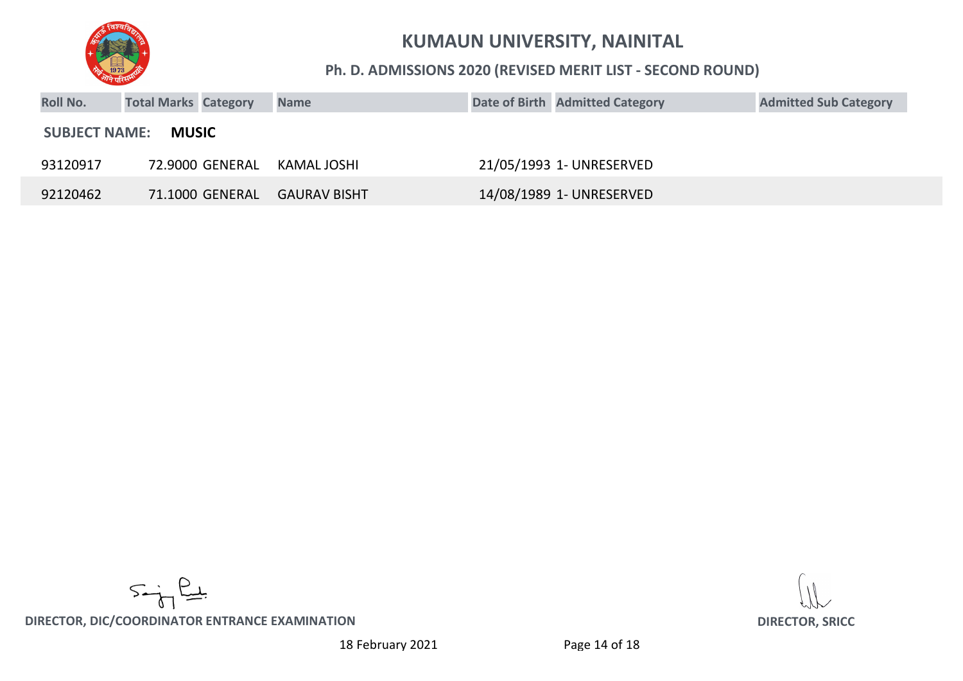

#### **Ph. D. ADMISSIONS 2020 (REVISED MERIT LIST - SECOND ROUND)**

| <b>Roll No.</b>      | <b>Total Marks Category</b> | <b>Name</b>         | Date of Birth Admitted Category | <b>Admitted Sub Category</b> |
|----------------------|-----------------------------|---------------------|---------------------------------|------------------------------|
| <b>SUBJECT NAME:</b> | <b>MUSIC</b>                |                     |                                 |                              |
| 93120917             | 72.9000 GENERAL             | KAMAL JOSHI         | 21/05/1993 1- UNRESERVED        |                              |
| 92120462             | 71.1000 GENERAL             | <b>GAURAV BISHT</b> | 14/08/1989 1- UNRESERVED        |                              |

 $5 - \frac{2}{3}$ 

**DIRECTOR, DIC/COORDINATOR ENTRANCE EXAMINATION DIRECTOR, SRICC**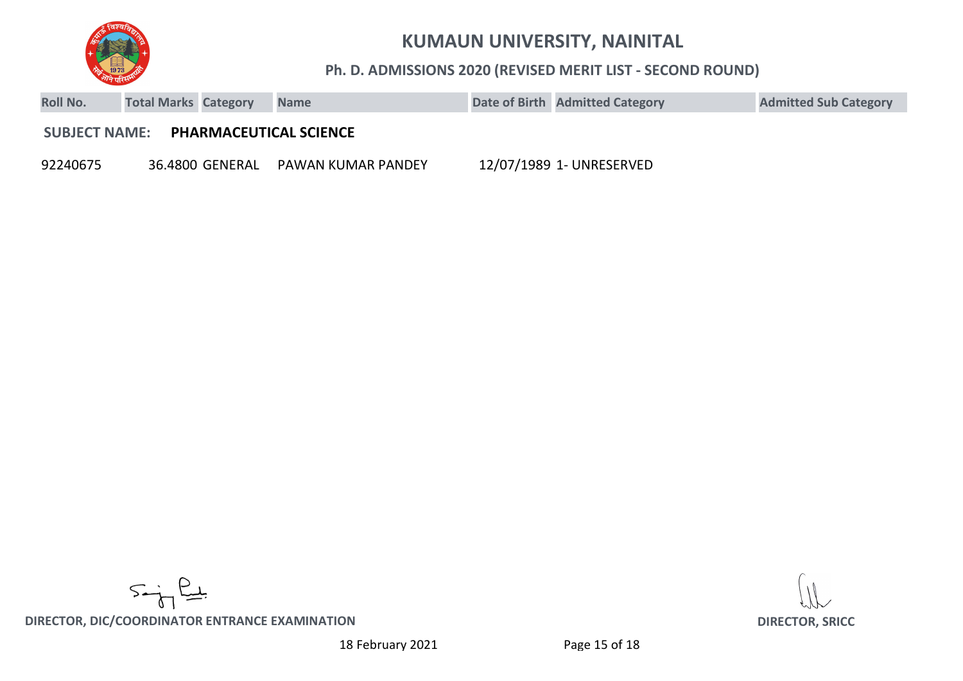

**Ph. D. ADMISSIONS 2020 (REVISED MERIT LIST - SECOND ROUND)**

| <b>Roll No.</b>      | <b>Total Marks Category</b> |                 | <b>Name</b>                   | Date of Birth Admitted Category | <b>Admitted Sub Category</b> |
|----------------------|-----------------------------|-----------------|-------------------------------|---------------------------------|------------------------------|
| <b>SUBJECT NAME:</b> |                             |                 | <b>PHARMACEUTICAL SCIENCE</b> |                                 |                              |
| 92240675             |                             | 36.4800 GENERAL | PAWAN KUMAR PANDEY            | 12/07/1989 1- UNRESERVED        |                              |

 $5 - \frac{2}{3}$ 

**DIRECTOR, DIC/COORDINATOR ENTRANCE EXAMINATION DIRECTOR, SRICC**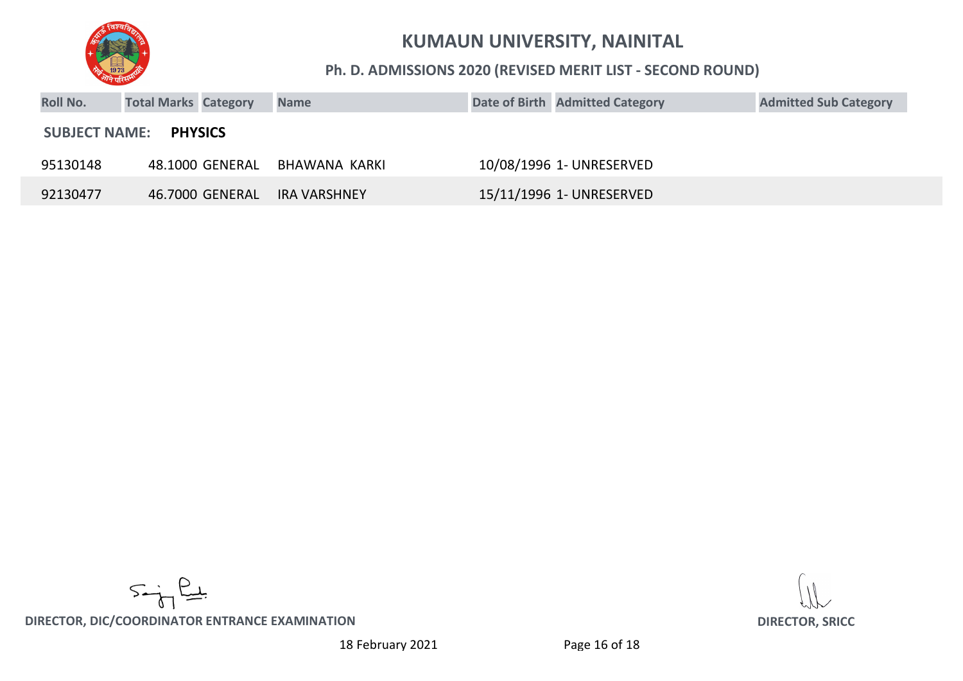

#### **Ph. D. ADMISSIONS 2020 (REVISED MERIT LIST - SECOND ROUND)**

| <b>Roll No.</b> | <b>Total Marks Category</b>  | <b>Name</b>   | Date of Birth Admitted Category | <b>Admitted Sub Category</b> |
|-----------------|------------------------------|---------------|---------------------------------|------------------------------|
|                 | <b>SUBJECT NAME: PHYSICS</b> |               |                                 |                              |
| 95130148        | 48.1000 GENERAL              | BHAWANA KARKI | 10/08/1996 1- UNRESERVED        |                              |
| 92130477        | 46.7000 GENERAL              | IRA VARSHNEY  | 15/11/1996 1- UNRESERVED        |                              |

 $5 - \frac{2}{5}$ 

**DIRECTOR, DIC/COORDINATOR ENTRANCE EXAMINATION DIRECTOR, SRICC**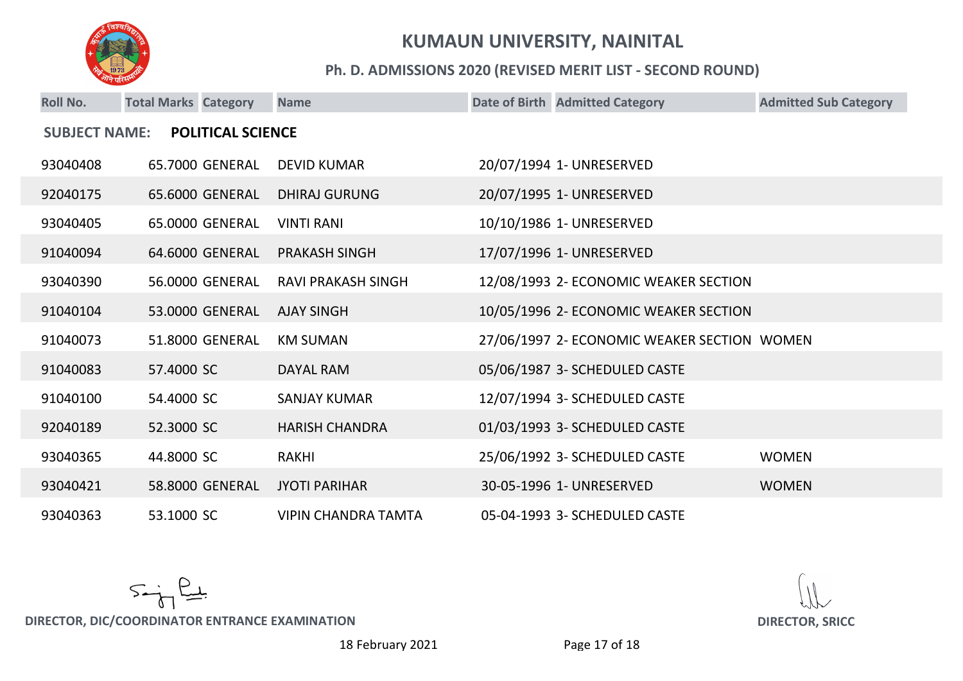

#### **Ph. D. ADMISSIONS 2020 (REVISED MERIT LIST - SECOND ROUND)**

| <b>Roll No.</b>                                  | <b>Total Marks Category</b> |                 | <b>Name</b>                |  | Date of Birth Admitted Category             | <b>Admitted Sub Category</b> |  |
|--------------------------------------------------|-----------------------------|-----------------|----------------------------|--|---------------------------------------------|------------------------------|--|
| <b>POLITICAL SCIENCE</b><br><b>SUBJECT NAME:</b> |                             |                 |                            |  |                                             |                              |  |
| 93040408                                         |                             | 65.7000 GENERAL | <b>DEVID KUMAR</b>         |  | 20/07/1994 1- UNRESERVED                    |                              |  |
| 92040175                                         |                             | 65.6000 GENERAL | <b>DHIRAJ GURUNG</b>       |  | 20/07/1995 1- UNRESERVED                    |                              |  |
| 93040405                                         |                             | 65.0000 GENERAL | <b>VINTI RANI</b>          |  | 10/10/1986 1- UNRESERVED                    |                              |  |
| 91040094                                         |                             | 64.6000 GENERAL | <b>PRAKASH SINGH</b>       |  | 17/07/1996 1- UNRESERVED                    |                              |  |
| 93040390                                         |                             | 56.0000 GENERAL | <b>RAVI PRAKASH SINGH</b>  |  | 12/08/1993 2- ECONOMIC WEAKER SECTION       |                              |  |
| 91040104                                         |                             | 53.0000 GENERAL | <b>AJAY SINGH</b>          |  | 10/05/1996 2- ECONOMIC WEAKER SECTION       |                              |  |
| 91040073                                         |                             | 51.8000 GENERAL | <b>KM SUMAN</b>            |  | 27/06/1997 2- ECONOMIC WEAKER SECTION WOMEN |                              |  |
| 91040083                                         | 57.4000 SC                  |                 | DAYAL RAM                  |  | 05/06/1987 3- SCHEDULED CASTE               |                              |  |
| 91040100                                         | 54.4000 SC                  |                 | <b>SANJAY KUMAR</b>        |  | 12/07/1994 3- SCHEDULED CASTE               |                              |  |
| 92040189                                         | 52.3000 SC                  |                 | <b>HARISH CHANDRA</b>      |  | 01/03/1993 3- SCHEDULED CASTE               |                              |  |
| 93040365                                         | 44.8000 SC                  |                 | <b>RAKHI</b>               |  | 25/06/1992 3- SCHEDULED CASTE               | <b>WOMEN</b>                 |  |
| 93040421                                         |                             | 58.8000 GENERAL | <b>JYOTI PARIHAR</b>       |  | 30-05-1996 1- UNRESERVED                    | <b>WOMEN</b>                 |  |
| 93040363                                         | 53.1000 SC                  |                 | <b>VIPIN CHANDRA TAMTA</b> |  | 05-04-1993 3- SCHEDULED CASTE               |                              |  |

 $5 - \frac{2}{3}$